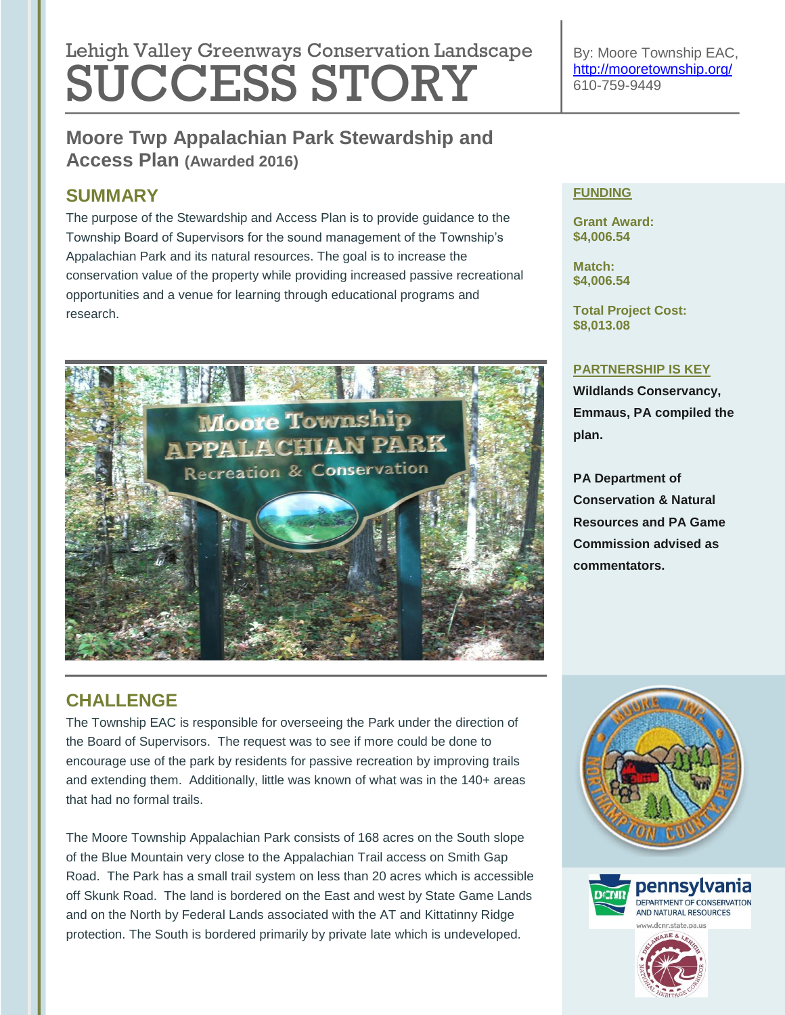# Lehigh Valley Greenways Conservation Landscape SUCCESS STORY

By: Moore Township EAC, <http://mooretownship.org/> 610-759-9449

## **Moore Twp Appalachian Park Stewardship and Access Plan (Awarded 2016)**

## **SUMMARY**

The purpose of the Stewardship and Access Plan is to provide guidance to the Township Board of Supervisors for the sound management of the Township's Appalachian Park and its natural resources. The goal is to increase the conservation value of the property while providing increased passive recreational opportunities and a venue for learning through educational programs and research.



# **FUNDING**

**Grant Award: \$4,006.54**

**Match: \$4,006.54**

**Total Project Cost: \$8,013.08**

#### **PARTNERSHIP IS KEY**

**Wildlands Conservancy, Emmaus, PA compiled the plan.**

**PA Department of Conservation & Natural Resources and PA Game Commission advised as commentators.**

# **CHALLENGE**

The Township EAC is responsible for overseeing the Park under the direction of the Board of Supervisors. The request was to see if more could be done to encourage use of the park by residents for passive recreation by improving trails and extending them. Additionally, little was known of what was in the 140+ areas that had no formal trails.

The Moore Township Appalachian Park consists of 168 acres on the South slope of the Blue Mountain very close to the Appalachian Trail access on Smith Gap Road. The Park has a small trail system on less than 20 acres which is accessible off Skunk Road. The land is bordered on the East and west by State Game Lands and on the North by Federal Lands associated with the AT and Kittatinny Ridge protection. The South is bordered primarily by private late which is undeveloped.